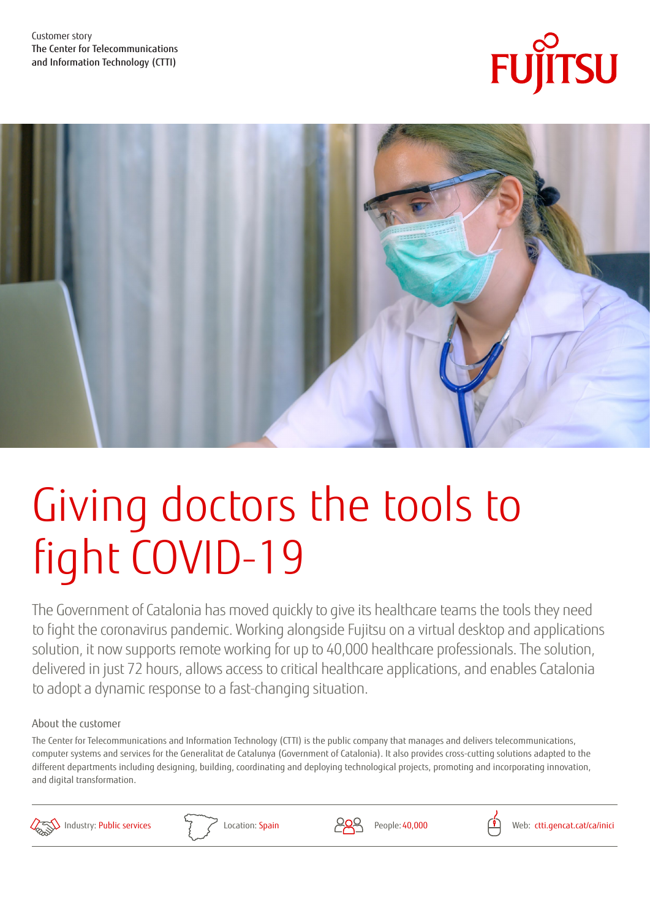Customer story The Center for Telecommunications and Information Technology (CTTI)





# Giving doctors the tools to fight COVID-19

The Government of Catalonia has moved quickly to give its healthcare teams the tools they need to fight the coronavirus pandemic. Working alongside Fujitsu on a virtual desktop and applications solution, it now supports remote working for up to 40,000 healthcare professionals. The solution, delivered in just 72 hours, allows access to critical healthcare applications, and enables Catalonia to adopt a dynamic response to a fast-changing situation.

#### About the customer

The Center for Telecommunications and Information Technology (CTTI) is the public company that manages and delivers telecommunications, computer systems and services for the Generalitat de Catalunya (Government of Catalonia). It also provides cross-cutting solutions adapted to the different departments including designing, building, coordinating and deploying technological projects, promoting and incorporating innovation, and digital transformation.